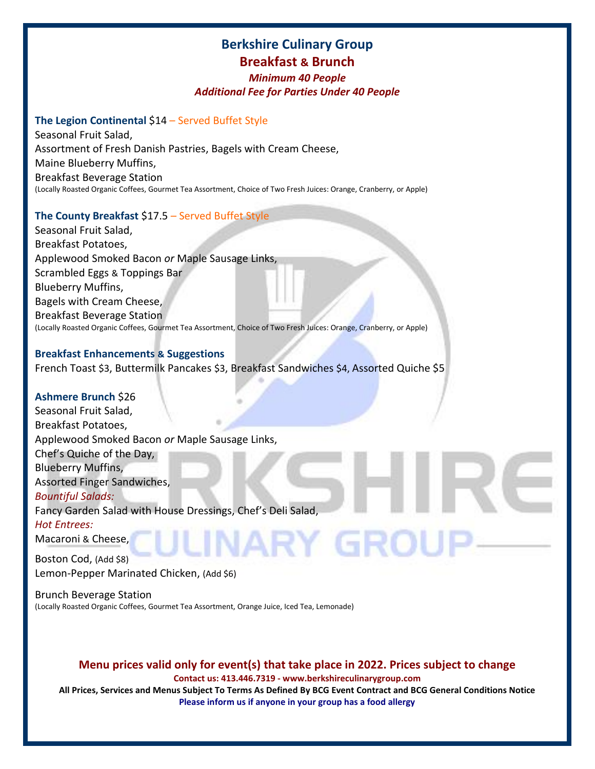# **Berkshire Culinary Group Breakfast & Brunch**

## *Minimum 40 People Additional Fee for Parties Under 40 People*

# **The Legion Continental** \$14 – Served Buffet Style

Seasonal Fruit Salad, Assortment of Fresh Danish Pastries, Bagels with Cream Cheese, Maine Blueberry Muffins, Breakfast Beverage Station (Locally Roasted Organic Coffees, Gourmet Tea Assortment, Choice of Two Fresh Juices: Orange, Cranberry, or Apple)

# **The County Breakfast** \$17.5 – Served Buffet Style

Seasonal Fruit Salad, Breakfast Potatoes, Applewood Smoked Bacon *or* Maple Sausage Links, Scrambled Eggs & Toppings Bar Blueberry Muffins, Bagels with Cream Cheese, Breakfast Beverage Station (Locally Roasted Organic Coffees, Gourmet Tea Assortment, Choice of Two Fresh Juices: Orange, Cranberry, or Apple)

## **Breakfast Enhancements & Suggestions**

French Toast \$3, Buttermilk Pancakes \$3, Breakfast Sandwiches \$4, Assorted Quiche \$5

## **Ashmere Brunch** \$26

Seasonal Fruit Salad, Breakfast Potatoes, Applewood Smoked Bacon *or* Maple Sausage Links, Chef's Quiche of the Day, Blueberry Muffins, Assorted Finger Sandwiches, *Bountiful Salads:* Fancy Garden Salad with House Dressings, Chef's Deli Salad, *Hot Entrees:* JARY GROL Macaroni & Cheese,

Boston Cod, (Add \$8) Lemon-Pepper Marinated Chicken, (Add \$6)

Brunch Beverage Station (Locally Roasted Organic Coffees, Gourmet Tea Assortment, Orange Juice, Iced Tea, Lemonade)

# **Menu prices valid only for event(s) that take place in 2022. Prices subject to change**

**Contact us: 413.446.7319 - www.berkshireculinarygroup.com**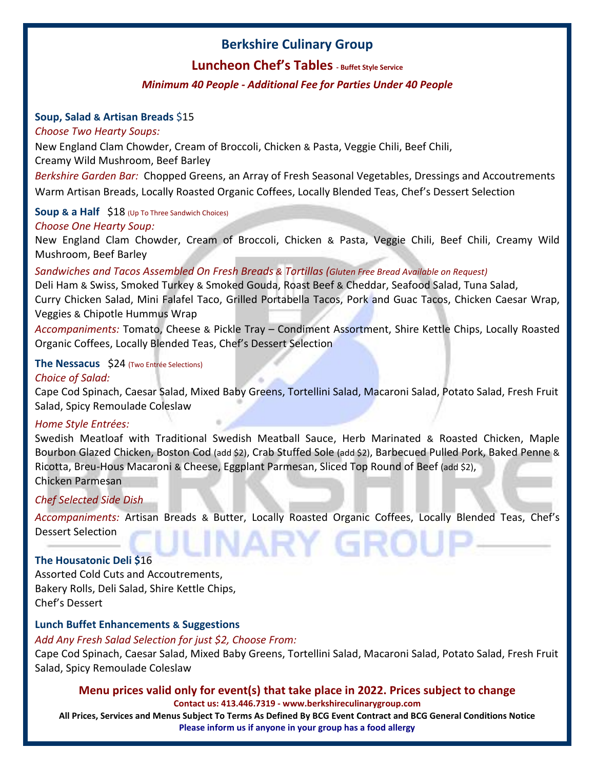# **Luncheon Chef's Tables - Buffet Style Service**

# *Minimum 40 People - Additional Fee for Parties Under 40 People*

## **Soup, Salad & Artisan Breads** \$15

## *Choose Two Hearty Soups:*

New England Clam Chowder, Cream of Broccoli, Chicken & Pasta, Veggie Chili, Beef Chili, Creamy Wild Mushroom, Beef Barley

*Berkshire Garden Bar:* Chopped Greens, an Array of Fresh Seasonal Vegetables, Dressings and Accoutrements Warm Artisan Breads, Locally Roasted Organic Coffees, Locally Blended Teas, Chef's Dessert Selection

# **Soup & a Half** \$18 (Up To Three Sandwich Choices)

# *Choose One Hearty Soup:*

New England Clam Chowder, Cream of Broccoli, Chicken & Pasta, Veggie Chili, Beef Chili, Creamy Wild Mushroom, Beef Barley

# *Sandwiches and Tacos Assembled On Fresh Breads & Tortillas (Gluten Free Bread Available on Request)*

Deli Ham & Swiss, Smoked Turkey & Smoked Gouda, Roast Beef & Cheddar, Seafood Salad, Tuna Salad, Curry Chicken Salad, Mini Falafel Taco, Grilled Portabella Tacos, Pork and Guac Tacos, Chicken Caesar Wrap, Veggies & Chipotle Hummus Wrap

*Accompaniments:* Tomato, Cheese & Pickle Tray – Condiment Assortment, Shire Kettle Chips, Locally Roasted Organic Coffees, Locally Blended Teas, Chef's Dessert Selection

## **The Nessacus** \$24 (Two Entrée Selections)

# *Choice of Salad:*

Cape Cod Spinach, Caesar Salad, Mixed Baby Greens, Tortellini Salad, Macaroni Salad, Potato Salad, Fresh Fruit Salad, Spicy Remoulade Coleslaw

## *Home Style Entrées:*

Swedish Meatloaf with Traditional Swedish Meatball Sauce, Herb Marinated & Roasted Chicken, Maple Bourbon Glazed Chicken, Boston Cod (add \$2), Crab Stuffed Sole (add \$2), Barbecued Pulled Pork, Baked Penne & Ricotta, Breu-Hous Macaroni & Cheese, Eggplant Parmesan, Sliced Top Round of Beef (add \$2), Chicken Parmesan

## *Chef Selected Side Dish*

*Accompaniments:* Artisan Breads & Butter, Locally Roasted Organic Coffees, Locally Blended Teas, Chef's Dessert Selection ARY GROL

# **The Housatonic Deli \$**16

Assorted Cold Cuts and Accoutrements, Bakery Rolls, Deli Salad, Shire Kettle Chips, Chef's Dessert

# **Lunch Buffet Enhancements & Suggestions**

## *Add Any Fresh Salad Selection for just \$2, Choose From:*

Cape Cod Spinach, Caesar Salad, Mixed Baby Greens, Tortellini Salad, Macaroni Salad, Potato Salad, Fresh Fruit Salad, Spicy Remoulade Coleslaw

## **Menu prices valid only for event(s) that take place in 2022. Prices subject to change**

#### **Contact us: 413.446.7319 - www.berkshireculinarygroup.com**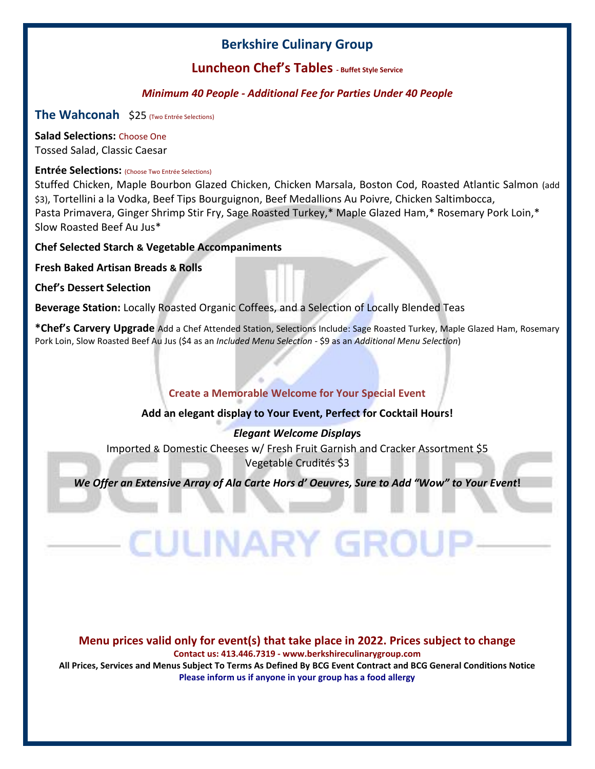# **Luncheon Chef's Tables - Buffet Style Service**

# *Minimum 40 People - Additional Fee for Parties Under 40 People*

**The Wahconah** \$25 (Two Entrée Selections)

**Salad Selections:** Choose One Tossed Salad, Classic Caesar

## **Entrée Selections:** (Choose Two Entrée Selections)

Stuffed Chicken, Maple Bourbon Glazed Chicken, Chicken Marsala, Boston Cod, Roasted Atlantic Salmon (add \$3), Tortellini a la Vodka, Beef Tips Bourguignon, Beef Medallions Au Poivre, Chicken Saltimbocca, Pasta Primavera, Ginger Shrimp Stir Fry, Sage Roasted Turkey,\* Maple Glazed Ham,\* Rosemary Pork Loin,\* Slow Roasted Beef Au Jus\*

**Chef Selected Starch & Vegetable Accompaniments**

**Fresh Baked Artisan Breads & Rolls**

**Chef's Dessert Selection**

**Beverage Station:** Locally Roasted Organic Coffees, and a Selection of Locally Blended Teas

**\*Chef's Carvery Upgrade** Add a Chef Attended Station, Selections Include: Sage Roasted Turkey, Maple Glazed Ham, Rosemary Pork Loin, Slow Roasted Beef Au Jus (\$4 as an *Included Menu Selection* - \$9 as an *Additional Menu Selection*)

# **Create a Memorable Welcome for Your Special Event**

## **Add an elegant display to Your Event, Perfect for Cocktail Hours!**

## *Elegant Welcome Display***s**

Imported & Domestic Cheeses w/ Fresh Fruit Garnish and Cracker Assortment \$5 Vegetable Crudités \$3

*We Offer an Extensive Array of Ala Carte Hors d' Oeuvres, Sure to Add "Wow" to Your Event!* 

**CULINARY GROU** 

# **Menu prices valid only for event(s) that take place in 2022. Prices subject to change**

**Contact us: 413.446.7319 - www.berkshireculinarygroup.com**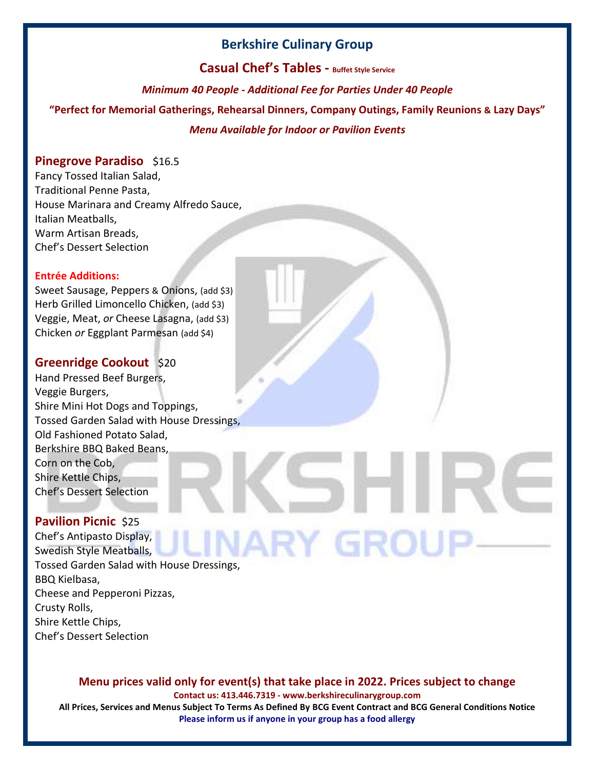**Casual Chef's Tables - Buffet Style Service**

*Minimum 40 People - Additional Fee for Parties Under 40 People*

**"Perfect for Memorial Gatherings, Rehearsal Dinners, Company Outings, Family Reunions & Lazy Days"** 

# *Menu Available for Indoor or Pavilion Events*

# **Pinegrove Paradiso** \$16.5

Fancy Tossed Italian Salad, Traditional Penne Pasta, House Marinara and Creamy Alfredo Sauce, Italian Meatballs, Warm Artisan Breads, Chef's Dessert Selection

#### **Entrée Additions:**

Sweet Sausage, Peppers & Onions, (add \$3) Herb Grilled Limoncello Chicken, (add \$3) Veggie, Meat, *or* Cheese Lasagna, (add \$3) Chicken *or* Eggplant Parmesan (add \$4)

# **Greenridge Cookout** \$20

Hand Pressed Beef Burgers, Veggie Burgers, Shire Mini Hot Dogs and Toppings, Tossed Garden Salad with House Dressings, Old Fashioned Potato Salad, Berkshire BBQ Baked Beans, Corn on the Cob, Shire Kettle Chips, Chef's Dessert Selection

# **Pavilion Picnic** \$25

Chef's Antipasto Display, INARY GROU Swedish Style Meatballs, Tossed Garden Salad with House Dressings, BBQ Kielbasa, Cheese and Pepperoni Pizzas, Crusty Rolls, Shire Kettle Chips, Chef's Dessert Selection

## **Menu prices valid only for event(s) that take place in 2022. Prices subject to change**

**Contact us: 413.446.7319 - www.berkshireculinarygroup.com**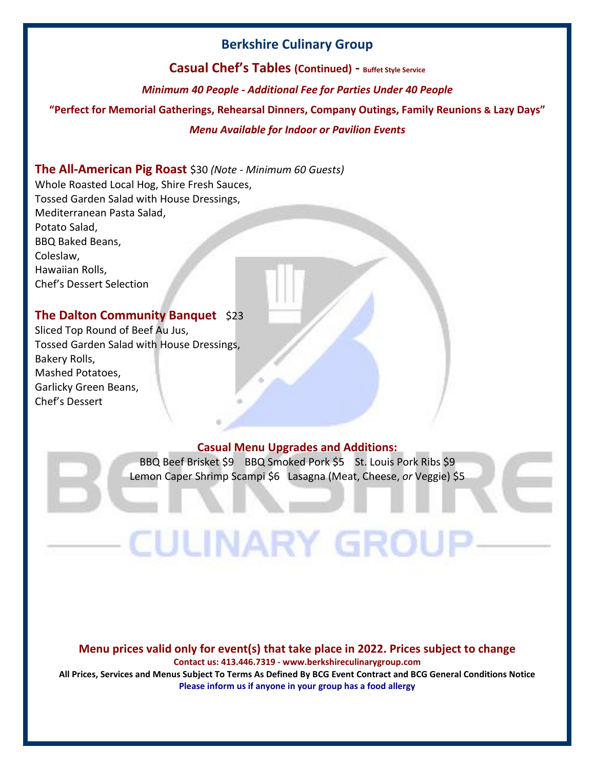**Casual Chef's Tables (Continued) - Buffet Style Service**

*Minimum 40 People - Additional Fee for Parties Under 40 People*

**"Perfect for Memorial Gatherings, Rehearsal Dinners, Company Outings, Family Reunions & Lazy Days"** 

## *Menu Available for Indoor or Pavilion Events*

# **The All-American Pig Roast** \$30 *(Note - Minimum 60 Guests)*

Whole Roasted Local Hog, Shire Fresh Sauces, Tossed Garden Salad with House Dressings, Mediterranean Pasta Salad, Potato Salad, BBQ Baked Beans, Coleslaw, Hawaiian Rolls, Chef's Dessert Selection

# **The Dalton Community Banquet** \$23

Sliced Top Round of Beef Au Jus, Tossed Garden Salad with House Dressings, Bakery Rolls, Mashed Potatoes, Garlicky Green Beans, Chef's Dessert

## **Casual Menu Upgrades and Additions:**

BBQ Beef Brisket \$9 BBQ Smoked Pork \$5 St. Louis Pork Ribs \$9 Lemon Caper Shrimp Scampi \$6 Lasagna (Meat, Cheese, *or* Veggie) \$5

**CULINARY GROL** 

#### **Menu prices valid only for event(s) that take place in 2022. Prices subject to change**

**Contact us: 413.446.7319 - www.berkshireculinarygroup.com**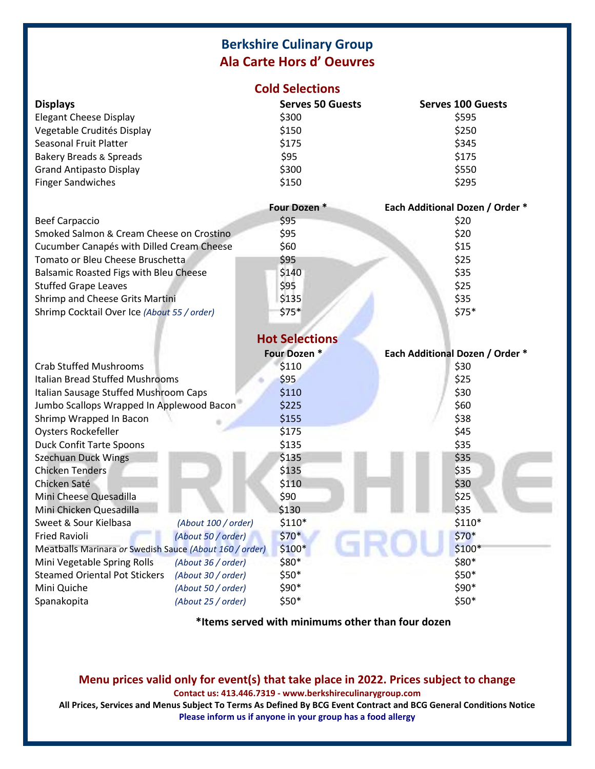# **Berkshire Culinary Group Ala Carte Hors d' Oeuvres**

## **Cold Selections**

| <b>Displays</b>                    | <b>Serves 50 Guests</b> | <b>Serves 100 Guests</b> |
|------------------------------------|-------------------------|--------------------------|
| <b>Elegant Cheese Display</b>      | \$300                   | \$595                    |
| Vegetable Crudités Display         | \$150                   | \$250                    |
| Seasonal Fruit Platter             | \$175                   | \$345                    |
| <b>Bakery Breads &amp; Spreads</b> | \$95                    | \$175                    |
| <b>Grand Antipasto Display</b>     | \$300                   | \$550                    |
| <b>Finger Sandwiches</b>           | \$150                   | \$295                    |

|                                             | Four Dozen *   | <b>Each Additional Dozen / Order *</b> |
|---------------------------------------------|----------------|----------------------------------------|
| <b>Beef Carpaccio</b>                       | \$95           | \$20                                   |
| Smoked Salmon & Cream Cheese on Crostino    | \$95           | \$20                                   |
| Cucumber Canapés with Dilled Cream Cheese   | \$60           | \$15                                   |
| Tomato or Bleu Cheese Bruschetta            | \$95           | \$25                                   |
| Balsamic Roasted Figs with Bleu Cheese      | \$140          | \$35                                   |
| <b>Stuffed Grape Leaves</b>                 | \$95           | \$25                                   |
| Shrimp and Cheese Grits Martini             | \$135          | \$35                                   |
| Shrimp Cocktail Over Ice (About 55 / order) | $$75*$         | $$75*$                                 |
|                                             | Hot Coloctions |                                        |

|                                                         |                     | <b>HOL SEIECLIONS</b> |                                 |
|---------------------------------------------------------|---------------------|-----------------------|---------------------------------|
|                                                         |                     | Four Dozen *          | Each Additional Dozen / Order * |
| <b>Crab Stuffed Mushrooms</b>                           |                     | \$110                 | \$30                            |
| Italian Bread Stuffed Mushrooms                         |                     | \$95                  | \$25                            |
| Italian Sausage Stuffed Mushroom Caps                   |                     | \$110                 | \$30                            |
| Jumbo Scallops Wrapped In Applewood Bacon               |                     | \$225                 | \$60                            |
| Shrimp Wrapped In Bacon                                 |                     | \$155                 | \$38                            |
| <b>Oysters Rockefeller</b>                              |                     | \$175                 | \$45                            |
| <b>Duck Confit Tarte Spoons</b>                         |                     | \$135                 | \$35                            |
| <b>Szechuan Duck Wings</b>                              |                     | \$135                 | \$35                            |
| <b>Chicken Tenders</b>                                  |                     | \$135                 | \$35                            |
| Chicken Saté                                            |                     | \$110                 | \$30                            |
| Mini Cheese Quesadilla                                  |                     | \$90                  | \$25                            |
| Mini Chicken Quesadilla                                 |                     | \$130                 | \$35                            |
| Sweet & Sour Kielbasa                                   | (About 100 / order) | $$110*$               | $$110*$                         |
| <b>Fried Ravioli</b>                                    | (About 50 / order)  | $$70*$                | $$70*$                          |
| Meatballs Marinara or Swedish Sauce (About 160 / order) |                     | $$100*$               | $$100*$                         |
| Mini Vegetable Spring Rolls                             | (About 36 / order)  | \$80*                 | \$80*                           |
| <b>Steamed Oriental Pot Stickers</b>                    | (About 30 / order)  | $$50*$                | \$50*                           |
| Mini Quiche                                             | (About 50 / order)  | \$90*                 | \$90*                           |
| Spanakopita                                             | (About 25 / order)  | \$50*                 | \$50*                           |

**\*Items served with minimums other than four dozen**

# **Menu prices valid only for event(s) that take place in 2022. Prices subject to change**

**Contact us: 413.446.7319 - www.berkshireculinarygroup.com**